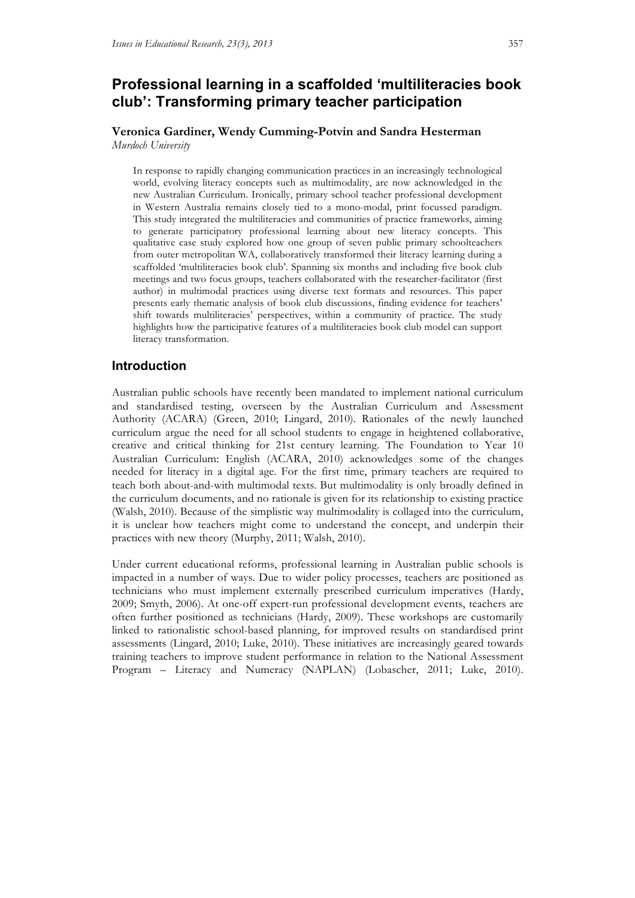# **Professional learning in a scaffolded 'multiliteracies book club': Transforming primary teacher participation**

**Veronica Gardiner, Wendy Cumming-Potvin and Sandra Hesterman** *Murdoch University* 

In response to rapidly changing communication practices in an increasingly technological world, evolving literacy concepts such as multimodality, are now acknowledged in the new Australian Curriculum. Ironically, primary school teacher professional development in Western Australia remains closely tied to a mono-modal, print focussed paradigm. This study integrated the multiliteracies and communities of practice frameworks, aiming to generate participatory professional learning about new literacy concepts. This qualitative case study explored how one group of seven public primary schoolteachers from outer metropolitan WA, collaboratively transformed their literacy learning during a scaffolded 'multiliteracies book club'. Spanning six months and including five book club meetings and two focus groups, teachers collaborated with the researcher-facilitator (first author) in multimodal practices using diverse text formats and resources. This paper presents early thematic analysis of book club discussions, finding evidence for teachers' shift towards multiliteracies' perspectives, within a community of practice. The study highlights how the participative features of a multiliteracies book club model can support literacy transformation.

# **Introduction**

Australian public schools have recently been mandated to implement national curriculum and standardised testing, overseen by the Australian Curriculum and Assessment Authority (ACARA) (Green, 2010; Lingard, 2010). Rationales of the newly launched curriculum argue the need for all school students to engage in heightened collaborative, creative and critical thinking for 21st century learning. The Foundation to Year 10 Australian Curriculum: English (ACARA, 2010) acknowledges some of the changes needed for literacy in a digital age. For the first time, primary teachers are required to teach both about-and-with multimodal texts. But multimodality is only broadly defined in the curriculum documents, and no rationale is given for its relationship to existing practice (Walsh, 2010). Because of the simplistic way multimodality is collaged into the curriculum, it is unclear how teachers might come to understand the concept, and underpin their practices with new theory (Murphy, 2011; Walsh, 2010).

Under current educational reforms, professional learning in Australian public schools is impacted in a number of ways. Due to wider policy processes, teachers are positioned as technicians who must implement externally prescribed curriculum imperatives (Hardy, 2009; Smyth, 2006). At one-off expert-run professional development events, teachers are often further positioned as technicians (Hardy, 2009). These workshops are customarily linked to rationalistic school-based planning, for improved results on standardised print assessments (Lingard, 2010; Luke, 2010). These initiatives are increasingly geared towards training teachers to improve student performance in relation to the National Assessment Program – Literacy and Numeracy (NAPLAN) (Lobascher, 2011; Luke, 2010).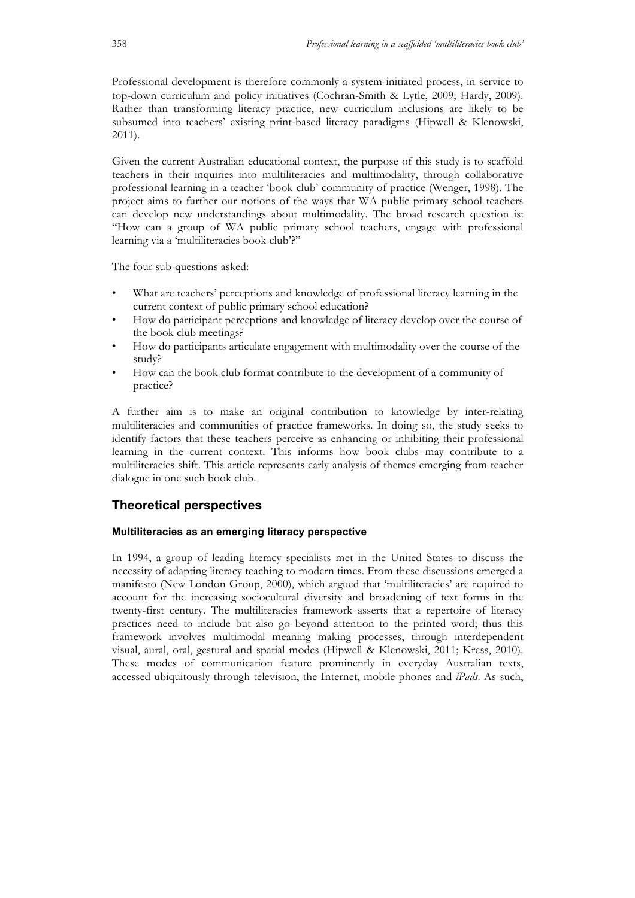Professional development is therefore commonly a system-initiated process, in service to top-down curriculum and policy initiatives (Cochran-Smith & Lytle, 2009; Hardy, 2009). Rather than transforming literacy practice, new curriculum inclusions are likely to be subsumed into teachers' existing print-based literacy paradigms (Hipwell & Klenowski, 2011).

Given the current Australian educational context, the purpose of this study is to scaffold teachers in their inquiries into multiliteracies and multimodality, through collaborative professional learning in a teacher 'book club' community of practice (Wenger, 1998). The project aims to further our notions of the ways that WA public primary school teachers can develop new understandings about multimodality. The broad research question is: "How can a group of WA public primary school teachers, engage with professional learning via a 'multiliteracies book club'?"

The four sub-questions asked:

- What are teachers' perceptions and knowledge of professional literacy learning in the current context of public primary school education?
- How do participant perceptions and knowledge of literacy develop over the course of the book club meetings?
- How do participants articulate engagement with multimodality over the course of the study?
- How can the book club format contribute to the development of a community of practice?

A further aim is to make an original contribution to knowledge by inter-relating multiliteracies and communities of practice frameworks. In doing so, the study seeks to identify factors that these teachers perceive as enhancing or inhibiting their professional learning in the current context. This informs how book clubs may contribute to a multiliteracies shift. This article represents early analysis of themes emerging from teacher dialogue in one such book club.

# **Theoretical perspectives**

#### **Multiliteracies as an emerging literacy perspective**

In 1994, a group of leading literacy specialists met in the United States to discuss the necessity of adapting literacy teaching to modern times. From these discussions emerged a manifesto (New London Group, 2000), which argued that 'multiliteracies' are required to account for the increasing sociocultural diversity and broadening of text forms in the twenty-first century. The multiliteracies framework asserts that a repertoire of literacy practices need to include but also go beyond attention to the printed word; thus this framework involves multimodal meaning making processes, through interdependent visual, aural, oral, gestural and spatial modes (Hipwell & Klenowski, 2011; Kress, 2010). These modes of communication feature prominently in everyday Australian texts, accessed ubiquitously through television, the Internet, mobile phones and *iPads*. As such,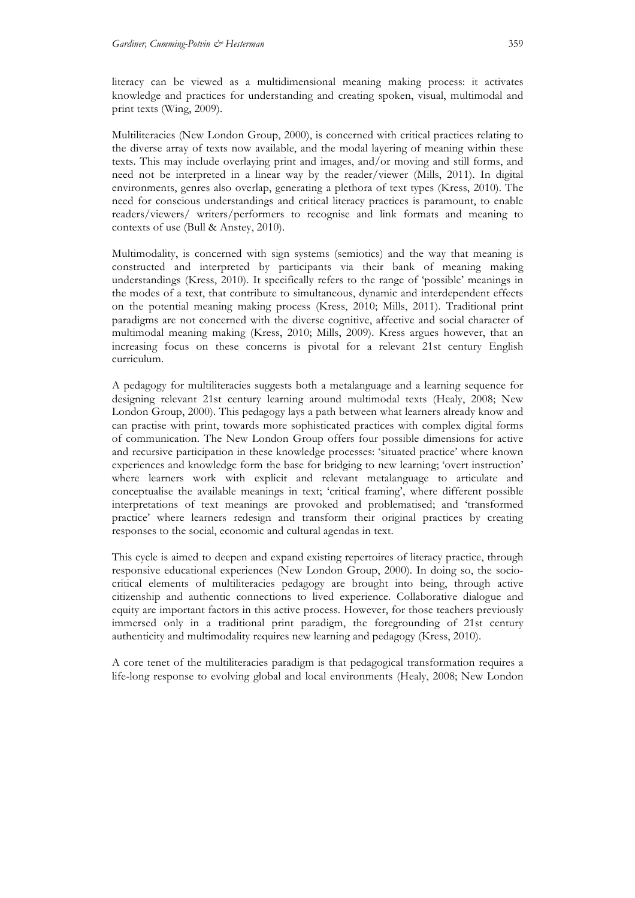literacy can be viewed as a multidimensional meaning making process: it activates knowledge and practices for understanding and creating spoken, visual, multimodal and print texts (Wing, 2009).

Multiliteracies (New London Group, 2000), is concerned with critical practices relating to the diverse array of texts now available, and the modal layering of meaning within these texts. This may include overlaying print and images, and/or moving and still forms, and need not be interpreted in a linear way by the reader/viewer (Mills, 2011). In digital environments, genres also overlap, generating a plethora of text types (Kress, 2010). The need for conscious understandings and critical literacy practices is paramount, to enable readers/viewers/ writers/performers to recognise and link formats and meaning to contexts of use (Bull & Anstey, 2010).

Multimodality, is concerned with sign systems (semiotics) and the way that meaning is constructed and interpreted by participants via their bank of meaning making understandings (Kress, 2010). It specifically refers to the range of 'possible' meanings in the modes of a text, that contribute to simultaneous, dynamic and interdependent effects on the potential meaning making process (Kress, 2010; Mills, 2011). Traditional print paradigms are not concerned with the diverse cognitive, affective and social character of multimodal meaning making (Kress, 2010; Mills, 2009). Kress argues however, that an increasing focus on these concerns is pivotal for a relevant 21st century English curriculum.

A pedagogy for multiliteracies suggests both a metalanguage and a learning sequence for designing relevant 21st century learning around multimodal texts (Healy, 2008; New London Group, 2000). This pedagogy lays a path between what learners already know and can practise with print, towards more sophisticated practices with complex digital forms of communication. The New London Group offers four possible dimensions for active and recursive participation in these knowledge processes: 'situated practice' where known experiences and knowledge form the base for bridging to new learning; 'overt instruction' where learners work with explicit and relevant metalanguage to articulate and conceptualise the available meanings in text; 'critical framing', where different possible interpretations of text meanings are provoked and problematised; and 'transformed practice' where learners redesign and transform their original practices by creating responses to the social, economic and cultural agendas in text.

This cycle is aimed to deepen and expand existing repertoires of literacy practice, through responsive educational experiences (New London Group, 2000). In doing so, the sociocritical elements of multiliteracies pedagogy are brought into being, through active citizenship and authentic connections to lived experience. Collaborative dialogue and equity are important factors in this active process. However, for those teachers previously immersed only in a traditional print paradigm, the foregrounding of 21st century authenticity and multimodality requires new learning and pedagogy (Kress, 2010).

A core tenet of the multiliteracies paradigm is that pedagogical transformation requires a life-long response to evolving global and local environments (Healy, 2008; New London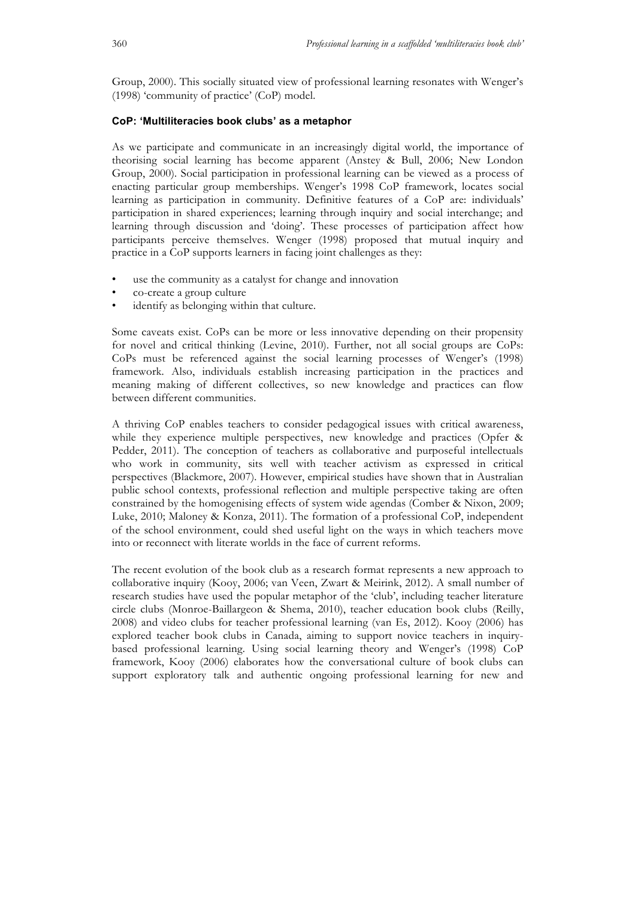Group, 2000). This socially situated view of professional learning resonates with Wenger's (1998) 'community of practice' (CoP) model.

#### **CoP: 'Multiliteracies book clubs' as a metaphor**

As we participate and communicate in an increasingly digital world, the importance of theorising social learning has become apparent (Anstey & Bull, 2006; New London Group, 2000). Social participation in professional learning can be viewed as a process of enacting particular group memberships. Wenger's 1998 CoP framework, locates social learning as participation in community. Definitive features of a CoP are: individuals' participation in shared experiences; learning through inquiry and social interchange; and learning through discussion and 'doing'. These processes of participation affect how participants perceive themselves. Wenger (1998) proposed that mutual inquiry and practice in a CoP supports learners in facing joint challenges as they:

- use the community as a catalyst for change and innovation
- co-create a group culture
- identify as belonging within that culture.

Some caveats exist. CoPs can be more or less innovative depending on their propensity for novel and critical thinking (Levine, 2010). Further, not all social groups are CoPs: CoPs must be referenced against the social learning processes of Wenger's (1998) framework. Also, individuals establish increasing participation in the practices and meaning making of different collectives, so new knowledge and practices can flow between different communities.

A thriving CoP enables teachers to consider pedagogical issues with critical awareness, while they experience multiple perspectives, new knowledge and practices (Opfer & Pedder, 2011). The conception of teachers as collaborative and purposeful intellectuals who work in community, sits well with teacher activism as expressed in critical perspectives (Blackmore, 2007). However, empirical studies have shown that in Australian public school contexts, professional reflection and multiple perspective taking are often constrained by the homogenising effects of system wide agendas (Comber & Nixon, 2009; Luke, 2010; Maloney & Konza, 2011). The formation of a professional CoP, independent of the school environment, could shed useful light on the ways in which teachers move into or reconnect with literate worlds in the face of current reforms.

The recent evolution of the book club as a research format represents a new approach to collaborative inquiry (Kooy, 2006; van Veen, Zwart & Meirink, 2012). A small number of research studies have used the popular metaphor of the 'club', including teacher literature circle clubs (Monroe-Baillargeon & Shema, 2010), teacher education book clubs (Reilly, 2008) and video clubs for teacher professional learning (van Es, 2012). Kooy (2006) has explored teacher book clubs in Canada, aiming to support novice teachers in inquirybased professional learning. Using social learning theory and Wenger's (1998) CoP framework, Kooy (2006) elaborates how the conversational culture of book clubs can support exploratory talk and authentic ongoing professional learning for new and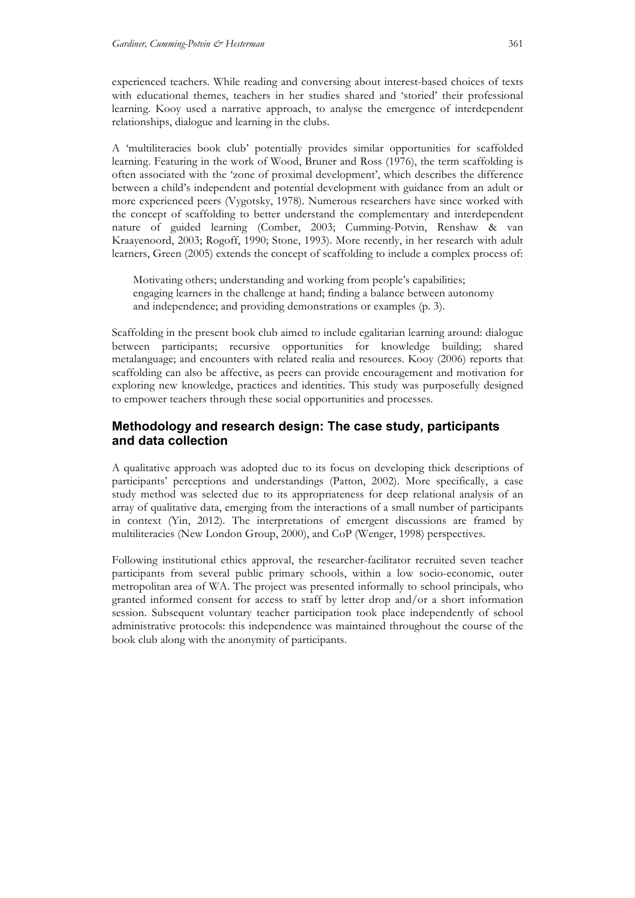experienced teachers. While reading and conversing about interest-based choices of texts with educational themes, teachers in her studies shared and 'storied' their professional learning. Kooy used a narrative approach, to analyse the emergence of interdependent relationships, dialogue and learning in the clubs.

A 'multiliteracies book club' potentially provides similar opportunities for scaffolded learning. Featuring in the work of Wood, Bruner and Ross (1976), the term scaffolding is often associated with the 'zone of proximal development', which describes the difference between a child's independent and potential development with guidance from an adult or more experienced peers (Vygotsky, 1978). Numerous researchers have since worked with the concept of scaffolding to better understand the complementary and interdependent nature of guided learning (Comber, 2003; Cumming-Potvin, Renshaw & van Kraayenoord, 2003; Rogoff, 1990; Stone, 1993). More recently, in her research with adult learners, Green (2005) extends the concept of scaffolding to include a complex process of:

Motivating others; understanding and working from people's capabilities; engaging learners in the challenge at hand; finding a balance between autonomy and independence; and providing demonstrations or examples (p. 3).

Scaffolding in the present book club aimed to include egalitarian learning around: dialogue between participants; recursive opportunities for knowledge building; shared metalanguage; and encounters with related realia and resources. Kooy (2006) reports that scaffolding can also be affective, as peers can provide encouragement and motivation for exploring new knowledge, practices and identities. This study was purposefully designed to empower teachers through these social opportunities and processes.

# **Methodology and research design: The case study, participants and data collection**

A qualitative approach was adopted due to its focus on developing thick descriptions of participants' perceptions and understandings (Patton, 2002). More specifically, a case study method was selected due to its appropriateness for deep relational analysis of an array of qualitative data, emerging from the interactions of a small number of participants in context (Yin, 2012). The interpretations of emergent discussions are framed by multiliteracies (New London Group, 2000), and CoP (Wenger, 1998) perspectives.

Following institutional ethics approval, the researcher-facilitator recruited seven teacher participants from several public primary schools, within a low socio-economic, outer metropolitan area of WA. The project was presented informally to school principals, who granted informed consent for access to staff by letter drop and/or a short information session. Subsequent voluntary teacher participation took place independently of school administrative protocols: this independence was maintained throughout the course of the book club along with the anonymity of participants.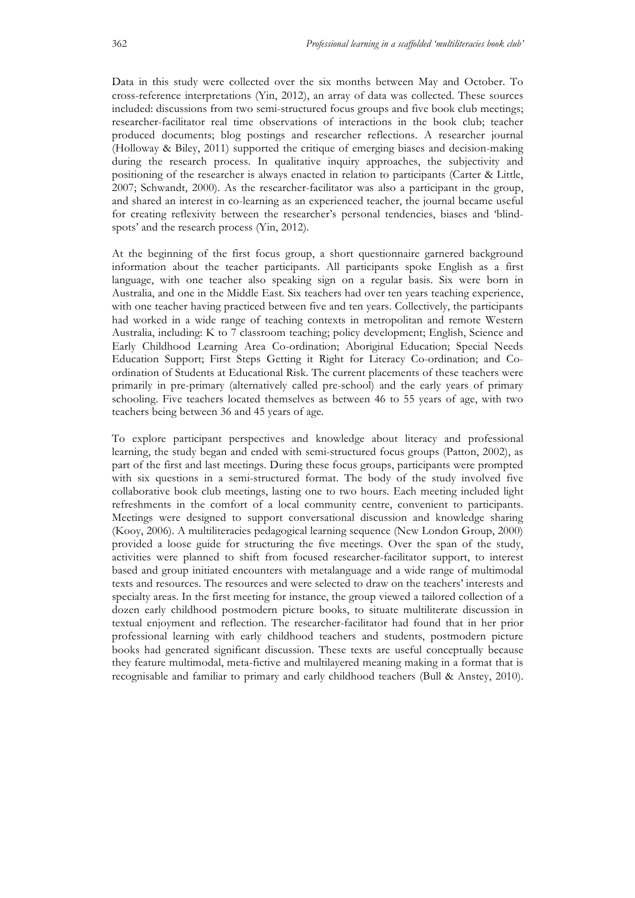Data in this study were collected over the six months between May and October. To cross-reference interpretations (Yin, 2012), an array of data was collected. These sources included: discussions from two semi-structured focus groups and five book club meetings; researcher-facilitator real time observations of interactions in the book club; teacher produced documents; blog postings and researcher reflections. A researcher journal (Holloway & Biley, 2011) supported the critique of emerging biases and decision-making during the research process. In qualitative inquiry approaches, the subjectivity and positioning of the researcher is always enacted in relation to participants (Carter & Little, 2007; Schwandt, 2000). As the researcher-facilitator was also a participant in the group, and shared an interest in co-learning as an experienced teacher, the journal became useful for creating reflexivity between the researcher's personal tendencies, biases and 'blindspots' and the research process (Yin, 2012).

At the beginning of the first focus group, a short questionnaire garnered background information about the teacher participants. All participants spoke English as a first language, with one teacher also speaking sign on a regular basis. Six were born in Australia, and one in the Middle East. Six teachers had over ten years teaching experience, with one teacher having practiced between five and ten years. Collectively, the participants had worked in a wide range of teaching contexts in metropolitan and remote Western Australia, including: K to 7 classroom teaching; policy development; English, Science and Early Childhood Learning Area Co-ordination; Aboriginal Education; Special Needs Education Support; First Steps Getting it Right for Literacy Co-ordination; and Coordination of Students at Educational Risk. The current placements of these teachers were primarily in pre-primary (alternatively called pre-school) and the early years of primary schooling. Five teachers located themselves as between 46 to 55 years of age, with two teachers being between 36 and 45 years of age.

To explore participant perspectives and knowledge about literacy and professional learning, the study began and ended with semi-structured focus groups (Patton, 2002), as part of the first and last meetings. During these focus groups, participants were prompted with six questions in a semi-structured format. The body of the study involved five collaborative book club meetings, lasting one to two hours. Each meeting included light refreshments in the comfort of a local community centre, convenient to participants. Meetings were designed to support conversational discussion and knowledge sharing (Kooy, 2006). A multiliteracies pedagogical learning sequence (New London Group, 2000) provided a loose guide for structuring the five meetings. Over the span of the study, activities were planned to shift from focused researcher-facilitator support, to interest based and group initiated encounters with metalanguage and a wide range of multimodal texts and resources. The resources and were selected to draw on the teachers' interests and specialty areas. In the first meeting for instance, the group viewed a tailored collection of a dozen early childhood postmodern picture books, to situate multiliterate discussion in textual enjoyment and reflection. The researcher-facilitator had found that in her prior professional learning with early childhood teachers and students, postmodern picture books had generated significant discussion. These texts are useful conceptually because they feature multimodal, meta-fictive and multilayered meaning making in a format that is recognisable and familiar to primary and early childhood teachers (Bull & Anstey, 2010).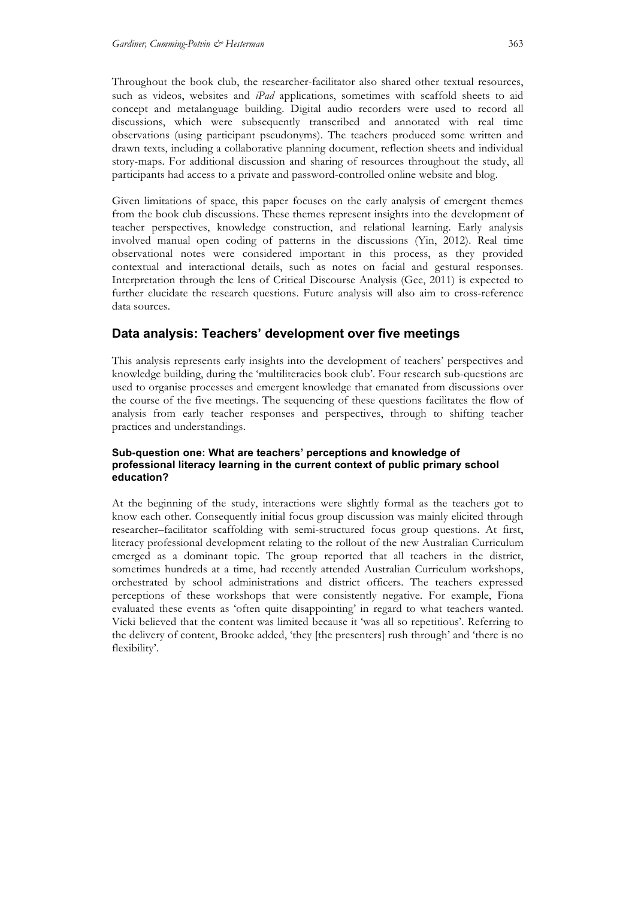Throughout the book club, the researcher-facilitator also shared other textual resources, such as videos, websites and *iPad* applications, sometimes with scaffold sheets to aid concept and metalanguage building. Digital audio recorders were used to record all discussions, which were subsequently transcribed and annotated with real time observations (using participant pseudonyms). The teachers produced some written and drawn texts, including a collaborative planning document, reflection sheets and individual story-maps. For additional discussion and sharing of resources throughout the study, all participants had access to a private and password-controlled online website and blog.

Given limitations of space, this paper focuses on the early analysis of emergent themes from the book club discussions. These themes represent insights into the development of teacher perspectives, knowledge construction, and relational learning. Early analysis involved manual open coding of patterns in the discussions (Yin, 2012). Real time observational notes were considered important in this process, as they provided contextual and interactional details, such as notes on facial and gestural responses. Interpretation through the lens of Critical Discourse Analysis (Gee, 2011) is expected to further elucidate the research questions. Future analysis will also aim to cross-reference data sources.

# **Data analysis: Teachers' development over five meetings**

This analysis represents early insights into the development of teachers' perspectives and knowledge building, during the 'multiliteracies book club'. Four research sub-questions are used to organise processes and emergent knowledge that emanated from discussions over the course of the five meetings. The sequencing of these questions facilitates the flow of analysis from early teacher responses and perspectives, through to shifting teacher practices and understandings.

#### **Sub-question one: What are teachers' perceptions and knowledge of professional literacy learning in the current context of public primary school education?**

At the beginning of the study, interactions were slightly formal as the teachers got to know each other. Consequently initial focus group discussion was mainly elicited through researcher–facilitator scaffolding with semi-structured focus group questions. At first, literacy professional development relating to the rollout of the new Australian Curriculum emerged as a dominant topic. The group reported that all teachers in the district, sometimes hundreds at a time, had recently attended Australian Curriculum workshops, orchestrated by school administrations and district officers. The teachers expressed perceptions of these workshops that were consistently negative. For example, Fiona evaluated these events as 'often quite disappointing' in regard to what teachers wanted. Vicki believed that the content was limited because it 'was all so repetitious'. Referring to the delivery of content, Brooke added, 'they [the presenters] rush through' and 'there is no flexibility'.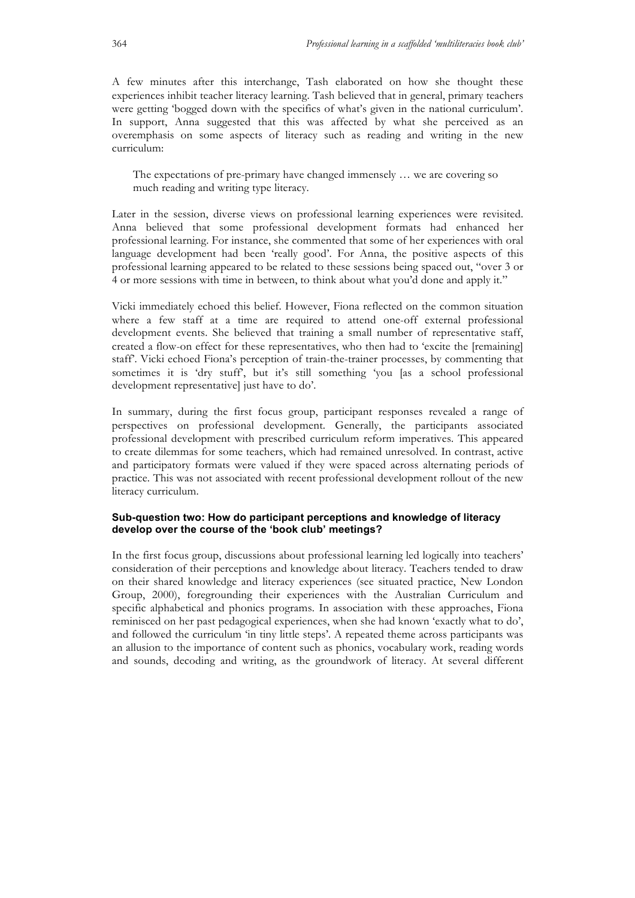A few minutes after this interchange, Tash elaborated on how she thought these experiences inhibit teacher literacy learning. Tash believed that in general, primary teachers were getting 'bogged down with the specifics of what's given in the national curriculum'. In support, Anna suggested that this was affected by what she perceived as an overemphasis on some aspects of literacy such as reading and writing in the new curriculum:

The expectations of pre-primary have changed immensely … we are covering so much reading and writing type literacy.

Later in the session, diverse views on professional learning experiences were revisited. Anna believed that some professional development formats had enhanced her professional learning. For instance, she commented that some of her experiences with oral language development had been 'really good'. For Anna, the positive aspects of this professional learning appeared to be related to these sessions being spaced out, "over 3 or 4 or more sessions with time in between, to think about what you'd done and apply it."

Vicki immediately echoed this belief. However, Fiona reflected on the common situation where a few staff at a time are required to attend one-off external professional development events. She believed that training a small number of representative staff, created a flow-on effect for these representatives, who then had to 'excite the [remaining] staff'. Vicki echoed Fiona's perception of train-the-trainer processes, by commenting that sometimes it is 'dry stuff', but it's still something 'you [as a school professional development representative] just have to do'.

In summary, during the first focus group, participant responses revealed a range of perspectives on professional development. Generally, the participants associated professional development with prescribed curriculum reform imperatives. This appeared to create dilemmas for some teachers, which had remained unresolved. In contrast, active and participatory formats were valued if they were spaced across alternating periods of practice. This was not associated with recent professional development rollout of the new literacy curriculum.

#### **Sub-question two: How do participant perceptions and knowledge of literacy develop over the course of the 'book club' meetings?**

In the first focus group, discussions about professional learning led logically into teachers' consideration of their perceptions and knowledge about literacy. Teachers tended to draw on their shared knowledge and literacy experiences (see situated practice, New London Group, 2000), foregrounding their experiences with the Australian Curriculum and specific alphabetical and phonics programs. In association with these approaches, Fiona reminisced on her past pedagogical experiences, when she had known 'exactly what to do', and followed the curriculum 'in tiny little steps'. A repeated theme across participants was an allusion to the importance of content such as phonics, vocabulary work, reading words and sounds, decoding and writing, as the groundwork of literacy. At several different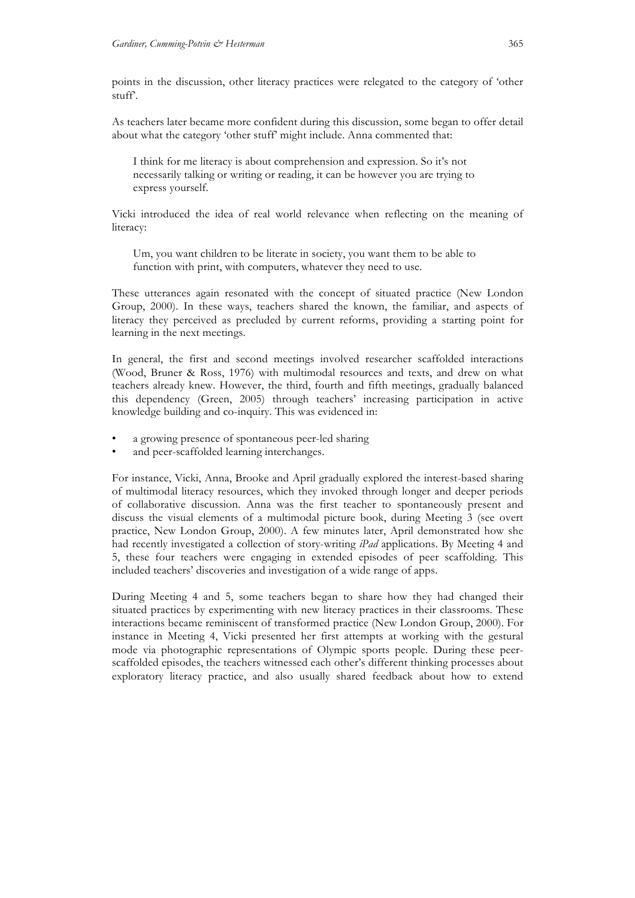points in the discussion, other literacy practices were relegated to the category of 'other stuff'.

As teachers later became more confident during this discussion, some began to offer detail about what the category 'other stuff' might include. Anna commented that:

I think for me literacy is about comprehension and expression. So it's not necessarily talking or writing or reading, it can be however you are trying to express yourself.

Vicki introduced the idea of real world relevance when reflecting on the meaning of literacy:

Um, you want children to be literate in society, you want them to be able to function with print, with computers, whatever they need to use.

These utterances again resonated with the concept of situated practice (New London Group, 2000). In these ways, teachers shared the known, the familiar, and aspects of literacy they perceived as precluded by current reforms, providing a starting point for learning in the next meetings.

In general, the first and second meetings involved researcher scaffolded interactions (Wood, Bruner & Ross, 1976) with multimodal resources and texts, and drew on what teachers already knew. However, the third, fourth and fifth meetings, gradually balanced this dependency (Green, 2005) through teachers' increasing participation in active knowledge building and co-inquiry. This was evidenced in:

- a growing presence of spontaneous peer-led sharing
- and peer-scaffolded learning interchanges.

For instance, Vicki, Anna, Brooke and April gradually explored the interest-based sharing of multimodal literacy resources, which they invoked through longer and deeper periods of collaborative discussion. Anna was the first teacher to spontaneously present and discuss the visual elements of a multimodal picture book, during Meeting 3 (see overt practice, New London Group, 2000). A few minutes later, April demonstrated how she had recently investigated a collection of story-writing *iPad* applications. By Meeting 4 and 5, these four teachers were engaging in extended episodes of peer scaffolding. This included teachers' discoveries and investigation of a wide range of apps.

During Meeting 4 and 5, some teachers began to share how they had changed their situated practices by experimenting with new literacy practices in their classrooms. These interactions became reminiscent of transformed practice (New London Group, 2000). For instance in Meeting 4, Vicki presented her first attempts at working with the gestural mode via photographic representations of Olympic sports people. During these peerscaffolded episodes, the teachers witnessed each other's different thinking processes about exploratory literacy practice, and also usually shared feedback about how to extend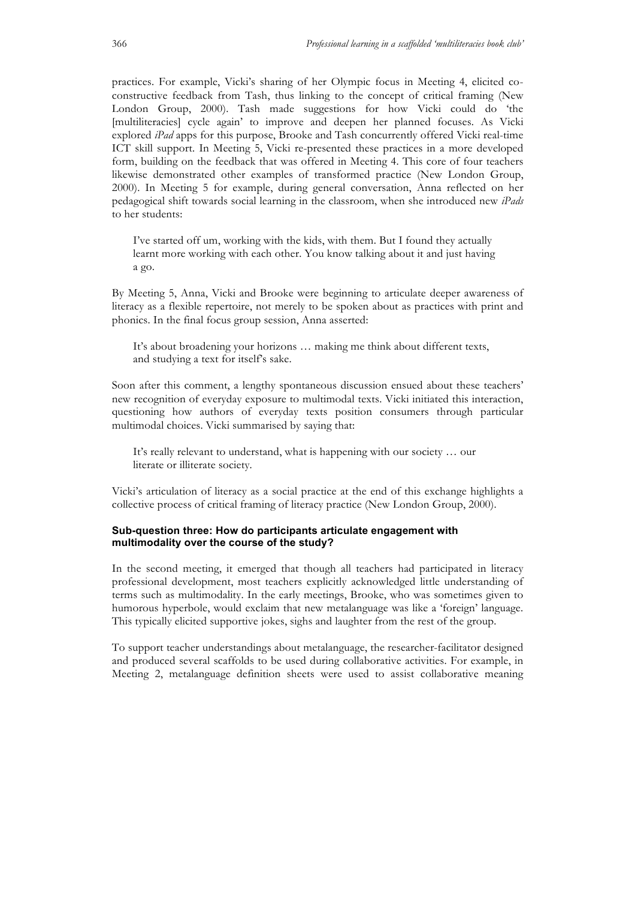practices. For example, Vicki's sharing of her Olympic focus in Meeting 4, elicited coconstructive feedback from Tash, thus linking to the concept of critical framing (New London Group, 2000). Tash made suggestions for how Vicki could do 'the [multiliteracies] cycle again' to improve and deepen her planned focuses. As Vicki explored *iPad* apps for this purpose, Brooke and Tash concurrently offered Vicki real-time ICT skill support. In Meeting 5, Vicki re-presented these practices in a more developed form, building on the feedback that was offered in Meeting 4. This core of four teachers likewise demonstrated other examples of transformed practice (New London Group, 2000). In Meeting 5 for example, during general conversation, Anna reflected on her pedagogical shift towards social learning in the classroom, when she introduced new *iPads* to her students:

I've started off um, working with the kids, with them. But I found they actually learnt more working with each other. You know talking about it and just having a go.

By Meeting 5, Anna, Vicki and Brooke were beginning to articulate deeper awareness of literacy as a flexible repertoire, not merely to be spoken about as practices with print and phonics. In the final focus group session, Anna asserted:

It's about broadening your horizons … making me think about different texts, and studying a text for itself's sake.

Soon after this comment, a lengthy spontaneous discussion ensued about these teachers' new recognition of everyday exposure to multimodal texts. Vicki initiated this interaction, questioning how authors of everyday texts position consumers through particular multimodal choices. Vicki summarised by saying that:

It's really relevant to understand, what is happening with our society … our literate or illiterate society.

Vicki's articulation of literacy as a social practice at the end of this exchange highlights a collective process of critical framing of literacy practice (New London Group, 2000).

### **Sub-question three: How do participants articulate engagement with multimodality over the course of the study?**

In the second meeting, it emerged that though all teachers had participated in literacy professional development, most teachers explicitly acknowledged little understanding of terms such as multimodality. In the early meetings, Brooke, who was sometimes given to humorous hyperbole, would exclaim that new metalanguage was like a 'foreign' language. This typically elicited supportive jokes, sighs and laughter from the rest of the group.

To support teacher understandings about metalanguage, the researcher-facilitator designed and produced several scaffolds to be used during collaborative activities. For example, in Meeting 2, metalanguage definition sheets were used to assist collaborative meaning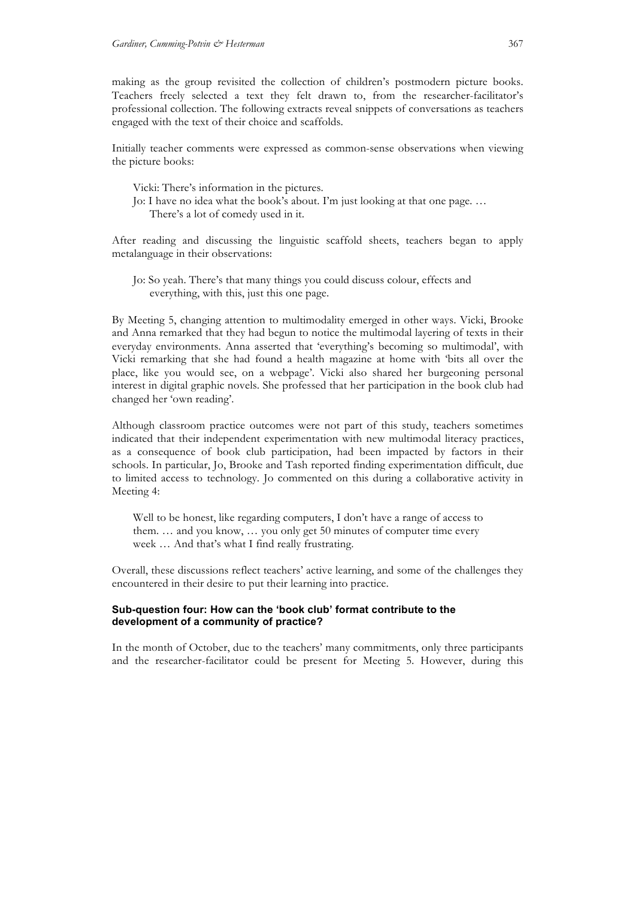making as the group revisited the collection of children's postmodern picture books. Teachers freely selected a text they felt drawn to, from the researcher-facilitator's professional collection. The following extracts reveal snippets of conversations as teachers engaged with the text of their choice and scaffolds.

Initially teacher comments were expressed as common-sense observations when viewing the picture books:

Vicki: There's information in the pictures. Jo: I have no idea what the book's about. I'm just looking at that one page. … There's a lot of comedy used in it.

After reading and discussing the linguistic scaffold sheets, teachers began to apply metalanguage in their observations:

Jo: So yeah. There's that many things you could discuss colour, effects and everything, with this, just this one page.

By Meeting 5, changing attention to multimodality emerged in other ways. Vicki, Brooke and Anna remarked that they had begun to notice the multimodal layering of texts in their everyday environments. Anna asserted that 'everything's becoming so multimodal', with Vicki remarking that she had found a health magazine at home with 'bits all over the place, like you would see, on a webpage'. Vicki also shared her burgeoning personal interest in digital graphic novels. She professed that her participation in the book club had changed her 'own reading'.

Although classroom practice outcomes were not part of this study, teachers sometimes indicated that their independent experimentation with new multimodal literacy practices, as a consequence of book club participation, had been impacted by factors in their schools. In particular, Jo, Brooke and Tash reported finding experimentation difficult, due to limited access to technology. Jo commented on this during a collaborative activity in Meeting 4:

Well to be honest, like regarding computers, I don't have a range of access to them. … and you know, … you only get 50 minutes of computer time every week … And that's what I find really frustrating.

Overall, these discussions reflect teachers' active learning, and some of the challenges they encountered in their desire to put their learning into practice.

#### **Sub-question four: How can the 'book club' format contribute to the development of a community of practice?**

In the month of October, due to the teachers' many commitments, only three participants and the researcher-facilitator could be present for Meeting 5. However, during this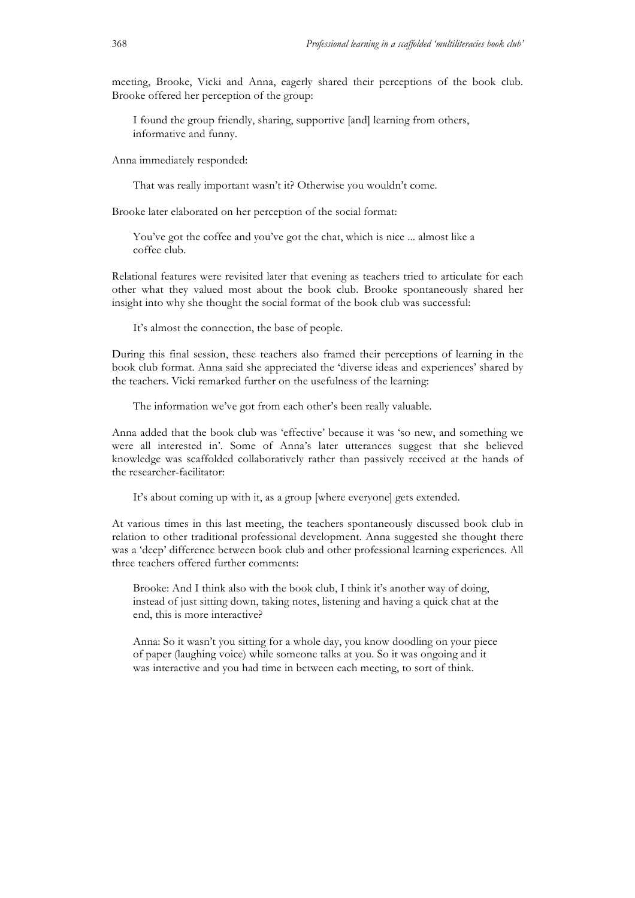meeting, Brooke, Vicki and Anna, eagerly shared their perceptions of the book club. Brooke offered her perception of the group:

I found the group friendly, sharing, supportive [and] learning from others, informative and funny.

Anna immediately responded:

That was really important wasn't it? Otherwise you wouldn't come.

Brooke later elaborated on her perception of the social format:

You've got the coffee and you've got the chat, which is nice ... almost like a coffee club.

Relational features were revisited later that evening as teachers tried to articulate for each other what they valued most about the book club. Brooke spontaneously shared her insight into why she thought the social format of the book club was successful:

It's almost the connection, the base of people.

During this final session, these teachers also framed their perceptions of learning in the book club format. Anna said she appreciated the 'diverse ideas and experiences' shared by the teachers. Vicki remarked further on the usefulness of the learning:

The information we've got from each other's been really valuable.

Anna added that the book club was 'effective' because it was 'so new, and something we were all interested in'. Some of Anna's later utterances suggest that she believed knowledge was scaffolded collaboratively rather than passively received at the hands of the researcher-facilitator:

It's about coming up with it, as a group [where everyone] gets extended.

At various times in this last meeting, the teachers spontaneously discussed book club in relation to other traditional professional development. Anna suggested she thought there was a 'deep' difference between book club and other professional learning experiences. All three teachers offered further comments:

Brooke: And I think also with the book club, I think it's another way of doing, instead of just sitting down, taking notes, listening and having a quick chat at the end, this is more interactive?

Anna: So it wasn't you sitting for a whole day, you know doodling on your piece of paper (laughing voice) while someone talks at you. So it was ongoing and it was interactive and you had time in between each meeting, to sort of think.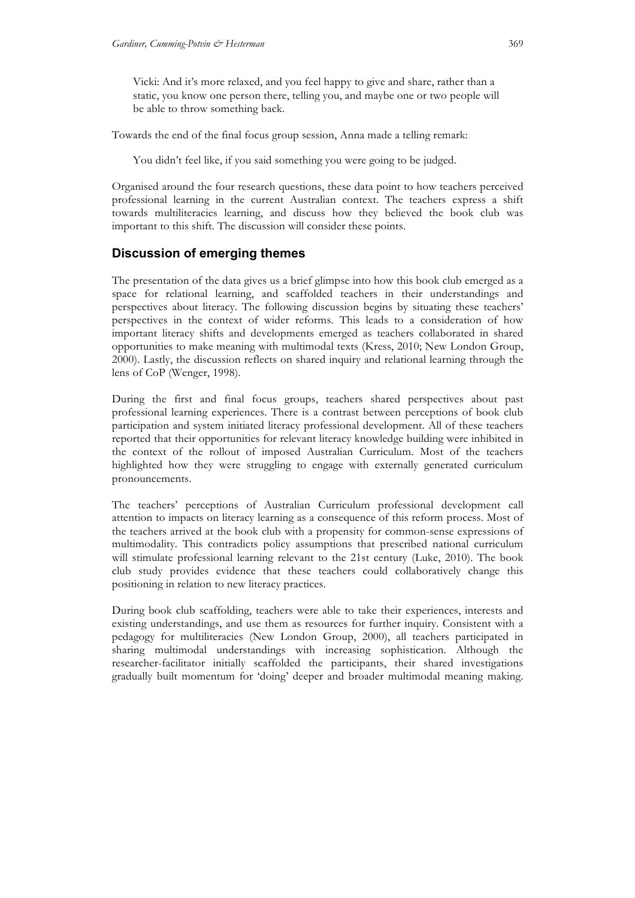Vicki: And it's more relaxed, and you feel happy to give and share, rather than a static, you know one person there, telling you, and maybe one or two people will be able to throw something back.

Towards the end of the final focus group session, Anna made a telling remark:

You didn't feel like, if you said something you were going to be judged.

Organised around the four research questions, these data point to how teachers perceived professional learning in the current Australian context. The teachers express a shift towards multiliteracies learning, and discuss how they believed the book club was important to this shift. The discussion will consider these points.

# **Discussion of emerging themes**

The presentation of the data gives us a brief glimpse into how this book club emerged as a space for relational learning, and scaffolded teachers in their understandings and perspectives about literacy. The following discussion begins by situating these teachers' perspectives in the context of wider reforms. This leads to a consideration of how important literacy shifts and developments emerged as teachers collaborated in shared opportunities to make meaning with multimodal texts (Kress, 2010; New London Group, 2000). Lastly, the discussion reflects on shared inquiry and relational learning through the lens of CoP (Wenger, 1998).

During the first and final focus groups, teachers shared perspectives about past professional learning experiences. There is a contrast between perceptions of book club participation and system initiated literacy professional development. All of these teachers reported that their opportunities for relevant literacy knowledge building were inhibited in the context of the rollout of imposed Australian Curriculum. Most of the teachers highlighted how they were struggling to engage with externally generated curriculum pronouncements.

The teachers' perceptions of Australian Curriculum professional development call attention to impacts on literacy learning as a consequence of this reform process. Most of the teachers arrived at the book club with a propensity for common-sense expressions of multimodality. This contradicts policy assumptions that prescribed national curriculum will stimulate professional learning relevant to the 21st century (Luke, 2010). The book club study provides evidence that these teachers could collaboratively change this positioning in relation to new literacy practices.

During book club scaffolding, teachers were able to take their experiences, interests and existing understandings, and use them as resources for further inquiry. Consistent with a pedagogy for multiliteracies (New London Group, 2000), all teachers participated in sharing multimodal understandings with increasing sophistication. Although the researcher-facilitator initially scaffolded the participants, their shared investigations gradually built momentum for 'doing' deeper and broader multimodal meaning making.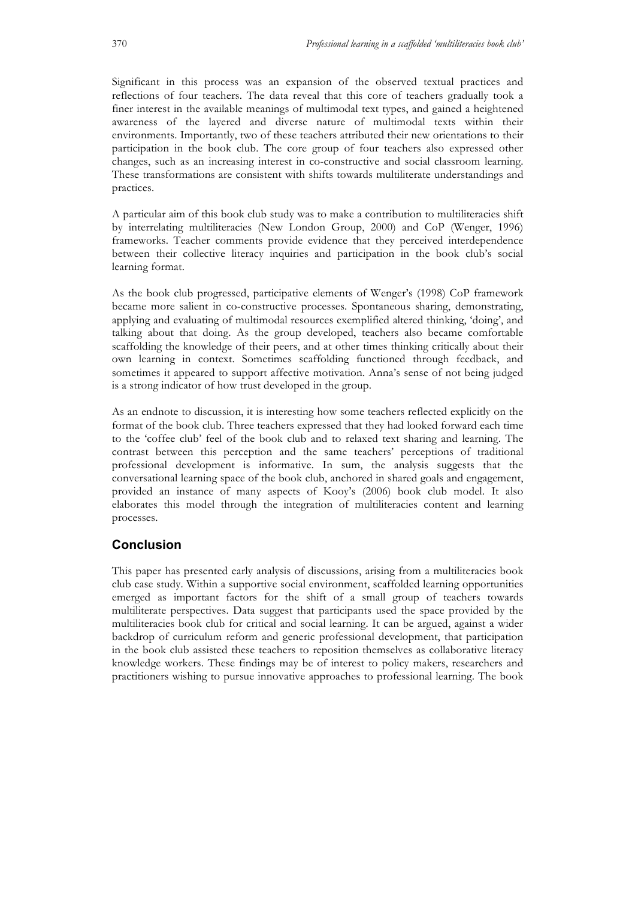Significant in this process was an expansion of the observed textual practices and reflections of four teachers. The data reveal that this core of teachers gradually took a finer interest in the available meanings of multimodal text types, and gained a heightened awareness of the layered and diverse nature of multimodal texts within their environments. Importantly, two of these teachers attributed their new orientations to their participation in the book club. The core group of four teachers also expressed other changes, such as an increasing interest in co-constructive and social classroom learning. These transformations are consistent with shifts towards multiliterate understandings and practices.

A particular aim of this book club study was to make a contribution to multiliteracies shift by interrelating multiliteracies (New London Group, 2000) and CoP (Wenger, 1996) frameworks. Teacher comments provide evidence that they perceived interdependence between their collective literacy inquiries and participation in the book club's social learning format.

As the book club progressed, participative elements of Wenger's (1998) CoP framework became more salient in co-constructive processes. Spontaneous sharing, demonstrating, applying and evaluating of multimodal resources exemplified altered thinking, 'doing', and talking about that doing. As the group developed, teachers also became comfortable scaffolding the knowledge of their peers, and at other times thinking critically about their own learning in context. Sometimes scaffolding functioned through feedback, and sometimes it appeared to support affective motivation. Anna's sense of not being judged is a strong indicator of how trust developed in the group.

As an endnote to discussion, it is interesting how some teachers reflected explicitly on the format of the book club. Three teachers expressed that they had looked forward each time to the 'coffee club' feel of the book club and to relaxed text sharing and learning. The contrast between this perception and the same teachers' perceptions of traditional professional development is informative. In sum, the analysis suggests that the conversational learning space of the book club, anchored in shared goals and engagement, provided an instance of many aspects of Kooy's (2006) book club model. It also elaborates this model through the integration of multiliteracies content and learning processes.

# **Conclusion**

This paper has presented early analysis of discussions, arising from a multiliteracies book club case study. Within a supportive social environment, scaffolded learning opportunities emerged as important factors for the shift of a small group of teachers towards multiliterate perspectives. Data suggest that participants used the space provided by the multiliteracies book club for critical and social learning. It can be argued, against a wider backdrop of curriculum reform and generic professional development, that participation in the book club assisted these teachers to reposition themselves as collaborative literacy knowledge workers. These findings may be of interest to policy makers, researchers and practitioners wishing to pursue innovative approaches to professional learning. The book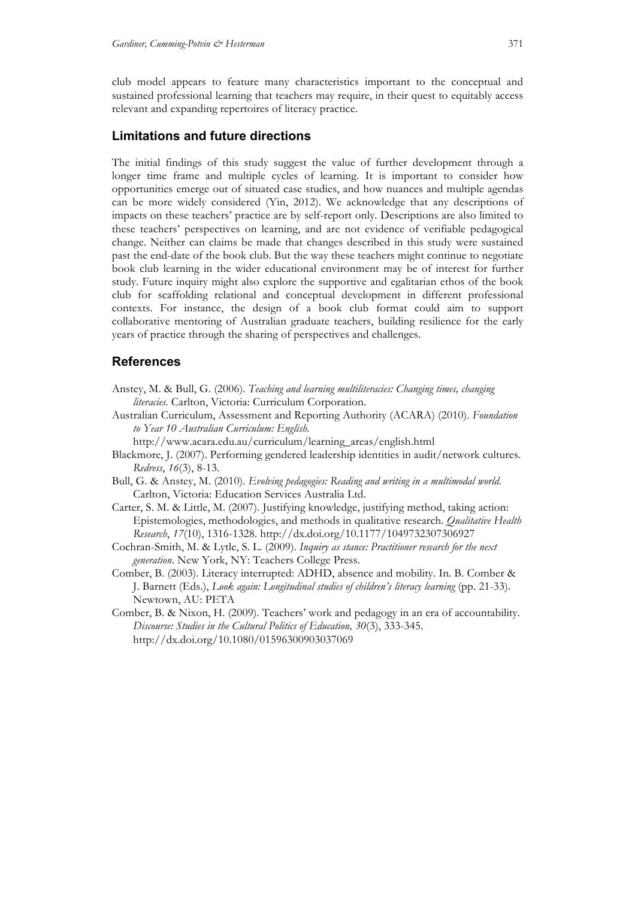club model appears to feature many characteristics important to the conceptual and sustained professional learning that teachers may require, in their quest to equitably access relevant and expanding repertoires of literacy practice.

# **Limitations and future directions**

The initial findings of this study suggest the value of further development through a longer time frame and multiple cycles of learning. It is important to consider how opportunities emerge out of situated case studies, and how nuances and multiple agendas can be more widely considered (Yin, 2012). We acknowledge that any descriptions of impacts on these teachers' practice are by self-report only. Descriptions are also limited to these teachers' perspectives on learning, and are not evidence of verifiable pedagogical change. Neither can claims be made that changes described in this study were sustained past the end-date of the book club. But the way these teachers might continue to negotiate book club learning in the wider educational environment may be of interest for further study. Future inquiry might also explore the supportive and egalitarian ethos of the book club for scaffolding relational and conceptual development in different professional contexts. For instance, the design of a book club format could aim to support collaborative mentoring of Australian graduate teachers, building resilience for the early years of practice through the sharing of perspectives and challenges.

# **References**

- Anstey, M. & Bull, G. (2006). *Teaching and learning multiliteracies: Changing times, changing literacies.* Carlton, Victoria: Curriculum Corporation.
- Australian Curriculum, Assessment and Reporting Authority (ACARA) (2010). *Foundation to Year 10 Australian Curriculum: English.* 
	- http://www.acara.edu.au/curriculum/learning\_areas/english.html
- Blackmore, J. (2007). Performing gendered leadership identities in audit/network cultures. *Redress*, *16*(3), 8-13.
- Bull, G. & Anstey, M. (2010). *Evolving pedagogies: Reading and writing in a multimodal world*. Carlton, Victoria: Education Services Australia Ltd.
- Carter, S. M. & Little, M. (2007). Justifying knowledge, justifying method, taking action: Epistemologies, methodologies, and methods in qualitative research. *Qualitative Health Research*, *17*(10), 1316-1328. http://dx.doi.org/10.1177/1049732307306927
- Cochran-Smith, M. & Lytle, S. L. (2009). *Inquiry as stance: Practitioner research for the next generation*. New York, NY: Teachers College Press.
- Comber, B. (2003). Literacy interrupted: ADHD, absence and mobility. In. B. Comber & J. Barnett (Eds.), *Look again: Longitudinal studies of children's literacy learning* (pp. 21-33). Newtown, AU: PETA
- Comber, B. & Nixon, H. (2009). Teachers' work and pedagogy in an era of accountability. *Discourse: Studies in the Cultural Politics of Education, 30*(3), 333-345. http://dx.doi.org/10.1080/01596300903037069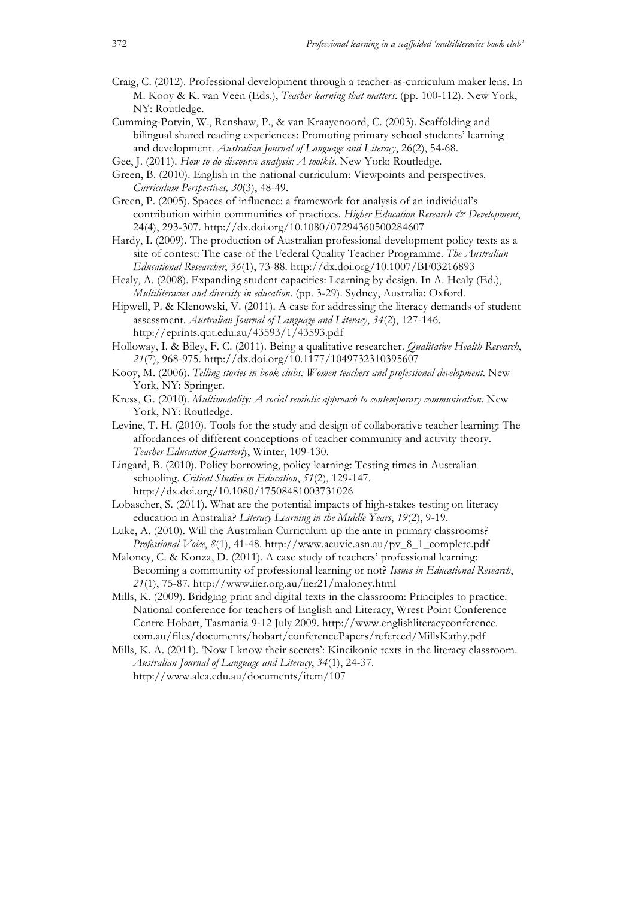- Craig, C. (2012). Professional development through a teacher-as-curriculum maker lens. In M. Kooy & K. van Veen (Eds.), *Teacher learning that matters*. (pp. 100-112). New York, NY: Routledge.
- Cumming-Potvin, W., Renshaw, P., & van Kraayenoord, C. (2003). Scaffolding and bilingual shared reading experiences: Promoting primary school students' learning and development. *Australian Journal of Language and Literacy*, 26(2), 54-68.
- Gee, J. (2011). *How to do discourse analysis: A toolkit*. New York: Routledge.
- Green, B. (2010). English in the national curriculum: Viewpoints and perspectives. *Curriculum Perspectives, 30*(3), 48-49.

Green, P. (2005). Spaces of influence: a framework for analysis of an individual's contribution within communities of practices. *Higher Education Research*  $\mathcal O$  *Development*, 24(4), 293-307. http://dx.doi.org/10.1080/07294360500284607

- Hardy, I. (2009). The production of Australian professional development policy texts as a site of contest: The case of the Federal Quality Teacher Programme. *The Australian Educational Researcher*, *36*(1), 73-88. http://dx.doi.org/10.1007/BF03216893
- Healy, A. (2008). Expanding student capacities: Learning by design. In A. Healy (Ed.), *Multiliteracies and diversity in education*. (pp. 3-29). Sydney, Australia: Oxford.
- Hipwell, P. & Klenowski, V. (2011). A case for addressing the literacy demands of student assessment. *Australian Journal of Language and Literacy*, *34*(2), 127-146. http://eprints.qut.edu.au/43593/1/43593.pdf
- Holloway, I. & Biley, F. C. (2011). Being a qualitative researcher. *Qualitative Health Research*, *21*(7), 968-975. http://dx.doi.org/10.1177/1049732310395607
- Kooy, M. (2006). *Telling stories in book clubs: Women teachers and professional development*. New York, NY: Springer.
- Kress, G. (2010). *Multimodality: A social semiotic approach to contemporary communication*. New York, NY: Routledge.
- Levine, T. H. (2010). Tools for the study and design of collaborative teacher learning: The affordances of different conceptions of teacher community and activity theory. *Teacher Education Quarterly*, Winter, 109-130.
- Lingard, B. (2010). Policy borrowing, policy learning: Testing times in Australian schooling. *Critical Studies in Education*, *51*(2), 129-147. http://dx.doi.org/10.1080/17508481003731026
- Lobascher, S. (2011). What are the potential impacts of high-stakes testing on literacy education in Australia? *Literacy Learning in the Middle Years*, *19*(2), 9-19.
- Luke, A. (2010). Will the Australian Curriculum up the ante in primary classrooms? *Professional Voice*, *8*(1), 41-48. http://www.aeuvic.asn.au/pv\_8\_1\_complete.pdf

Maloney, C. & Konza, D. (2011). A case study of teachers' professional learning: Becoming a community of professional learning or not? *Issues in Educational Research*, *21*(1), 75-87. http://www.iier.org.au/iier21/maloney.html

- Mills, K. (2009). Bridging print and digital texts in the classroom: Principles to practice. National conference for teachers of English and Literacy, Wrest Point Conference Centre Hobart, Tasmania 9-12 July 2009. http://www.englishliteracyconference. com.au/files/documents/hobart/conferencePapers/refereed/MillsKathy.pdf
- Mills, K. A. (2011). 'Now I know their secrets': Kineikonic texts in the literacy classroom. *Australian Journal of Language and Literacy*, *34*(1), 24-37. http://www.alea.edu.au/documents/item/107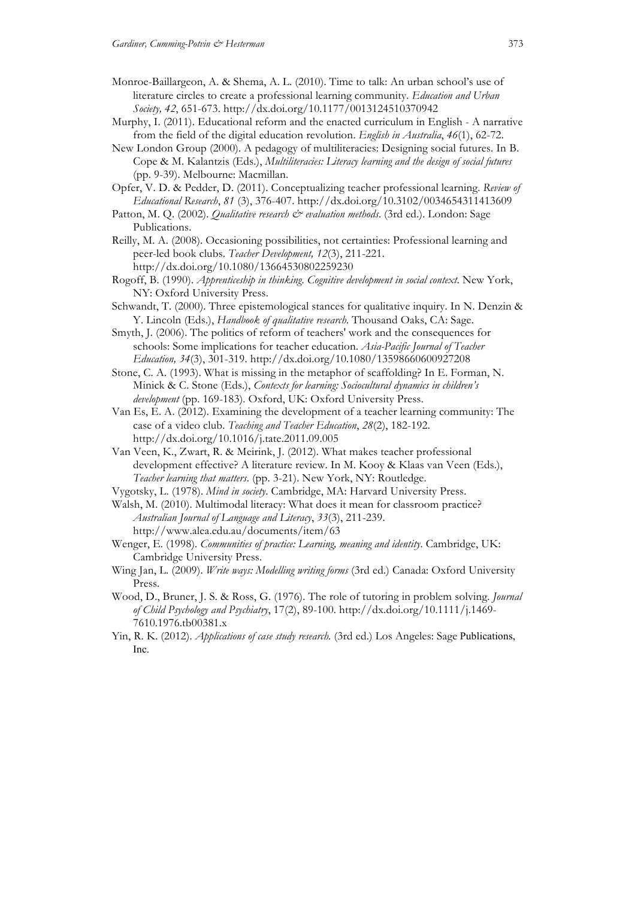- Monroe-Baillargeon, A. & Shema, A. L. (2010). Time to talk: An urban school's use of literature circles to create a professional learning community. *Education and Urban Society, 42*, 651-673. http://dx.doi.org/10.1177/0013124510370942
- Murphy, I. (2011). Educational reform and the enacted curriculum in English A narrative from the field of the digital education revolution. *English in Australia*, *46*(1), 62-72.
- New London Group (2000). A pedagogy of multiliteracies: Designing social futures. In B. Cope & M. Kalantzis (Eds.), *Multiliteracies: Literacy learning and the design of social futures* (pp. 9-39). Melbourne: Macmillan.
- Opfer, V. D. & Pedder, D. (2011). Conceptualizing teacher professional learning. *Review of Educational Research*, *81* (3), 376-407. http://dx.doi.org/10.3102/0034654311413609
- Patton, M. Q. (2002). *Qualitative research*  $\breve{c}$  *evaluation methods*. (3rd ed.). London: Sage Publications.
- Reilly, M. A. (2008). Occasioning possibilities, not certainties: Professional learning and peer-led book clubs. *Teacher Development, 12*(3), 211-221. http://dx.doi.org/10.1080/13664530802259230
- Rogoff, B. (1990). *Apprenticeship in thinking. Cognitive development in social context*. New York, NY: Oxford University Press.
- Schwandt, T. (2000). Three epistemological stances for qualitative inquiry. In N. Denzin & Y. Lincoln (Eds.), *Handbook of qualitative research*. Thousand Oaks, CA: Sage.
- Smyth, J. (2006). The politics of reform of teachers' work and the consequences for schools: Some implications for teacher education. *Asia-Pacific Journal of Teacher Education, 34*(3), 301-319. http://dx.doi.org/10.1080/13598660600927208
- Stone, C. A. (1993). What is missing in the metaphor of scaffolding? In E. Forman, N. Minick & C. Stone (Eds.), *Contexts for learning: Sociocultural dynamics in children's development* (pp. 169-183). Oxford, UK: Oxford University Press.
- Van Es, E. A. (2012). Examining the development of a teacher learning community: The case of a video club. *Teaching and Teacher Education*, *28*(2), 182-192. http://dx.doi.org/10.1016/j.tate.2011.09.005
- Van Veen, K., Zwart, R. & Meirink, J. (2012). What makes teacher professional development effective? A literature review. In M. Kooy & Klaas van Veen (Eds.), *Teacher learning that matters*. (pp. 3-21). New York, NY: Routledge.
- Vygotsky, L. (1978). *Mind in society*. Cambridge, MA: Harvard University Press. Walsh, M. (2010). Multimodal literacy: What does it mean for classroom practice? *Australian Journal of Language and Literacy*, *33*(3), 211-239.
	- http://www.alea.edu.au/documents/item/63
- Wenger, E. (1998). *Communities of practice: Learning, meaning and identity*. Cambridge, UK: Cambridge University Press.
- Wing Jan, L. (2009). *Write ways: Modelling writing forms* (3rd ed.) Canada: Oxford University Press.
- Wood, D., Bruner, J. S. & Ross, G. (1976). The role of tutoring in problem solving. *Journal of Child Psychology and Psychiatry*, 17(2), 89-100. http://dx.doi.org/10.1111/j.1469- 7610.1976.tb00381.x
- Yin, R. K. (2012). *Applications of case study research.* (3rd ed.) Los Angeles: Sage Publications, Inc.